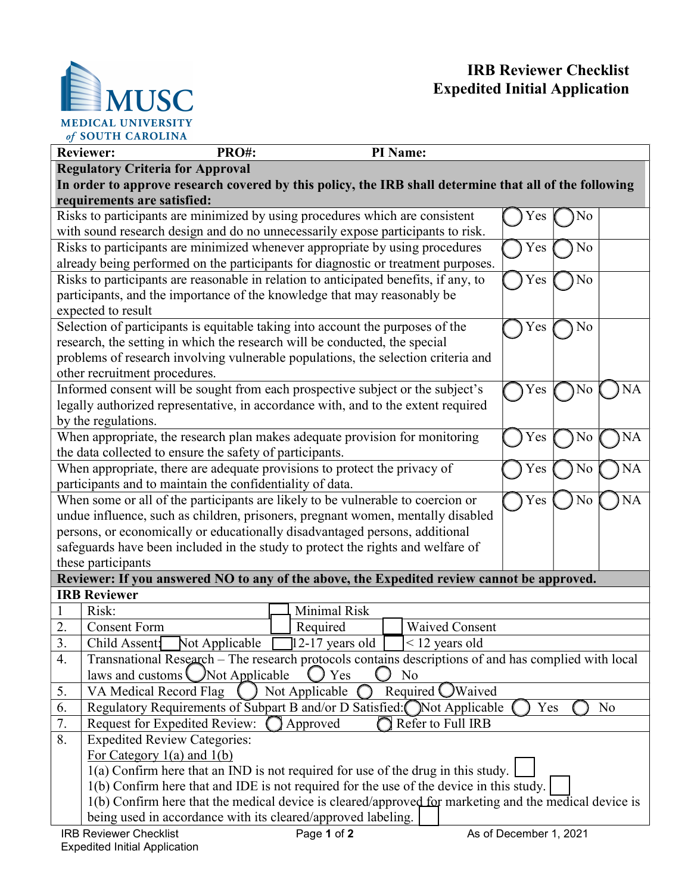

 $\overline{\phantom{a}}$ 



| <b>Reviewer:</b><br>PRO#:                                                                                  | PI Name:                            |                        |  |
|------------------------------------------------------------------------------------------------------------|-------------------------------------|------------------------|--|
| <b>Regulatory Criteria for Approval</b>                                                                    |                                     |                        |  |
| In order to approve research covered by this policy, the IRB shall determine that all of the following     |                                     |                        |  |
| requirements are satisfied:                                                                                |                                     |                        |  |
| Risks to participants are minimized by using procedures which are consistent                               |                                     | No<br>Yes              |  |
| with sound research design and do no unnecessarily expose participants to risk.                            |                                     |                        |  |
| Risks to participants are minimized whenever appropriate by using procedures<br>No<br>Yes                  |                                     |                        |  |
| already being performed on the participants for diagnostic or treatment purposes.                          |                                     |                        |  |
| Risks to participants are reasonable in relation to anticipated benefits, if any, to<br>Yes<br>No          |                                     |                        |  |
| participants, and the importance of the knowledge that may reasonably be                                   |                                     |                        |  |
| expected to result                                                                                         |                                     |                        |  |
| Selection of participants is equitable taking into account the purposes of the                             |                                     | Yes<br>No              |  |
| research, the setting in which the research will be conducted, the special                                 |                                     |                        |  |
| problems of research involving vulnerable populations, the selection criteria and                          |                                     |                        |  |
| other recruitment procedures.                                                                              |                                     |                        |  |
| Informed consent will be sought from each prospective subject or the subject's                             |                                     | Yes<br>No<br>NA        |  |
| legally authorized representative, in accordance with, and to the extent required                          |                                     |                        |  |
| by the regulations.                                                                                        |                                     |                        |  |
| When appropriate, the research plan makes adequate provision for monitoring                                |                                     | Yes<br>No<br><b>NA</b> |  |
| the data collected to ensure the safety of participants.                                                   |                                     |                        |  |
| When appropriate, there are adequate provisions to protect the privacy of<br>Yes<br>NA<br>No               |                                     |                        |  |
| participants and to maintain the confidentiality of data.                                                  |                                     |                        |  |
| When some or all of the participants are likely to be vulnerable to coercion or<br>Yes<br><b>NA</b><br>No  |                                     |                        |  |
| undue influence, such as children, prisoners, pregnant women, mentally disabled                            |                                     |                        |  |
| persons, or economically or educationally disadvantaged persons, additional                                |                                     |                        |  |
| safeguards have been included in the study to protect the rights and welfare of                            |                                     |                        |  |
| these participants                                                                                         |                                     |                        |  |
| Reviewer: If you answered NO to any of the above, the Expedited review cannot be approved.                 |                                     |                        |  |
| <b>IRB Reviewer</b>                                                                                        |                                     |                        |  |
| Risk:                                                                                                      | Minimal Risk                        |                        |  |
| 2.<br><b>Consent Form</b>                                                                                  | <b>Waived Consent</b><br>Required   |                        |  |
| 3.<br>Not Applicable<br>Child Assent:                                                                      | 12-17 years old<br>$<$ 12 years old |                        |  |
| Transnational Research - The research protocols contains descriptions of and has complied with local<br>4. |                                     |                        |  |
| laws and customs<br>Not Applicable<br>Yes<br>No                                                            |                                     |                        |  |
| VA Medical Record Flag<br>5.                                                                               | Not Applicable<br>Required OWaived  |                        |  |
| Regulatory Requirements of Subpart B and/or D Satisfied: Not Applicable<br>No<br>6.<br>Yes                 |                                     |                        |  |
| 7.<br>Request for Expedited Review:<br>Approved<br>Refer to Full IRB                                       |                                     |                        |  |
| 8.<br><b>Expedited Review Categories:</b>                                                                  |                                     |                        |  |
| For Category $1(a)$ and $1(b)$                                                                             |                                     |                        |  |
| $l(a)$ Confirm here that an IND is not required for use of the drug in this study.                         |                                     |                        |  |
| 1(b) Confirm here that and IDE is not required for the use of the device in this study.                    |                                     |                        |  |
| 1(b) Confirm here that the medical device is cleared/approved for marketing and the medical device is      |                                     |                        |  |
| being used in accordance with its cleared/approved labeling.                                               |                                     |                        |  |
| <b>IRB Reviewer Checklist</b>                                                                              | Page 1 of 2                         | As of December 1, 2021 |  |